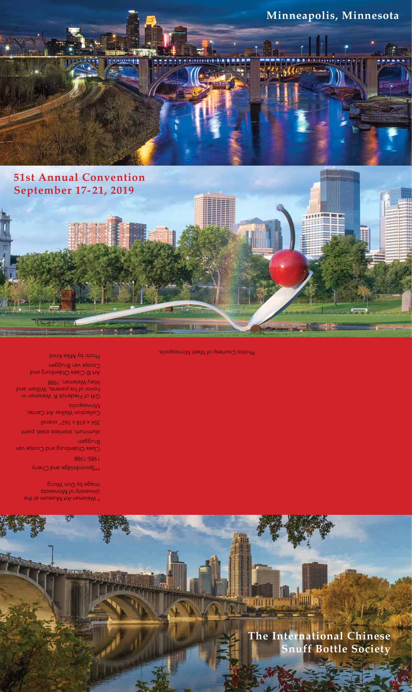

## **51st Annual Convention September 17-21, 2019**



Photos Courtesy of Meet Minneapolis.

Art © Claes Oldenburg and Coosje van Bruggen Photo by Mike Krivit

honor of his parents, William and Mary Weisman, 1988

Minneapolis Gift of Frederick R. Weisman in

Collection Walker Art Center,

354 x 618 x 162" overall

Claes Oldenburg and Coosje van Buegeu aluminum, stainless steel, paint

1985-1988

\*\*Spoonbridge and Cherry

University of Minnesota. Image by Don Wong.

\* Weisman Art Museum at the

# **The International Chinese Snuff Bottle Society**

**ET UTILIA**